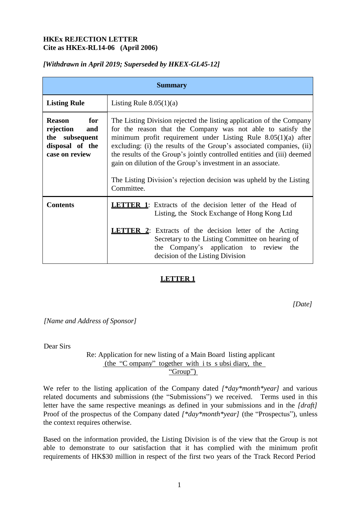# **HKEx REJECTION LETTER Cite as HKEx-RL14-06 (April 2006)**

## *[Withdrawn in April 2019; Superseded by HKEX-GL45-12]*

| <b>Summary</b>                                                                                  |                                                                                                                                                                                                                                                                                                                                                                                                                                                                                                                |  |  |
|-------------------------------------------------------------------------------------------------|----------------------------------------------------------------------------------------------------------------------------------------------------------------------------------------------------------------------------------------------------------------------------------------------------------------------------------------------------------------------------------------------------------------------------------------------------------------------------------------------------------------|--|--|
| <b>Listing Rule</b>                                                                             | Listing Rule $8.05(1)(a)$                                                                                                                                                                                                                                                                                                                                                                                                                                                                                      |  |  |
| <b>Reason</b><br>for<br>rejection<br>and<br>the subsequent<br>disposal of the<br>case on review | The Listing Division rejected the listing application of the Company<br>for the reason that the Company was not able to satisfy the<br>minimum profit requirement under Listing Rule $8.05(1)(a)$ after<br>excluding: (i) the results of the Group's associated companies, (ii)<br>the results of the Group's jointly controlled entities and (iii) deemed<br>gain on dilution of the Group's investment in an associate.<br>The Listing Division's rejection decision was upheld by the Listing<br>Committee. |  |  |
| <b>Contents</b>                                                                                 | <b>LETTER 1:</b> Extracts of the decision letter of the Head of<br>Listing, the Stock Exchange of Hong Kong Ltd<br><b>LETTER 2:</b> Extracts of the decision letter of the Acting<br>Secretary to the Listing Committee on hearing of<br>the Company's application to review the<br>decision of the Listing Division                                                                                                                                                                                           |  |  |

## **LETTER 1**

*[Date]*

*[Name and Address of Sponsor]*

Dear Sirs

Re: Application for new listing of a Main Board listing applicant (the "C ompany" together with i ts s ubsi diary, the "Group")

We refer to the listing application of the Company dated [\**day\*month\*year*] and various related documents and submissions (the "Submissions") we received. Terms used in this letter have the same respective meanings as defined in your submissions and in the *[draft]*  Proof of the prospectus of the Company dated *[\*day\*month\*year]* (the "Prospectus"), unless the context requires otherwise.

Based on the information provided, the Listing Division is of the view that the Group is not able to demonstrate to our satisfaction that it has complied with the minimum profit requirements of HK\$30 million in respect of the first two years of the Track Record Period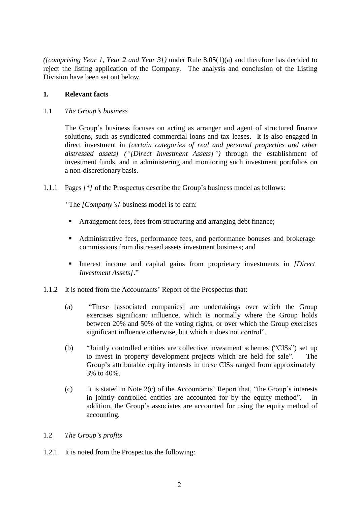*([comprising Year 1, Year 2 and Year 3])* under Rule 8.05(1)(a) and therefore has decided to reject the listing application of the Company. The analysis and conclusion of the Listing Division have been set out below.

### **1. Relevant facts**

1.1 *The Group's business*

The Group's business focuses on acting as arranger and agent of structured finance solutions, such as syndicated commercial loans and tax leases. It is also engaged in direct investment in *[certain categories of real and personal properties and other distressed assets] ("[Direct Investment Assets]")* through the establishment of investment funds, and in administering and monitoring such investment portfolios on a non-discretionary basis.

1.1.1 Pages *[\*]* of the Prospectus describe the Group's business model as follows:

*"*The *[Company's]* business model is to earn:

- **F** Arrangement fees, fees from structuring and arranging debt finance;
- Administrative fees, performance fees, and performance bonuses and brokerage commissions from distressed assets investment business; and
- Interest income and capital gains from proprietary investments in *[Direct*] *Investment Assets]*."
- 1.1.2 It is noted from the Accountants' Report of the Prospectus that:
	- (a) "These [associated companies] are undertakings over which the Group exercises significant influence, which is normally where the Group holds between 20% and 50% of the voting rights, or over which the Group exercises significant influence otherwise, but which it does not control".
	- (b) "Jointly controlled entities are collective investment schemes ("CISs") set up to invest in property development projects which are held for sale". The Group's attributable equity interests in these CISs ranged from approximately 3% to 40%.
	- (c) It is stated in Note 2(c) of the Accountants' Report that, "the Group's interests in jointly controlled entities are accounted for by the equity method". In addition, the Group's associates are accounted for using the equity method of accounting.

#### 1.2 *The Group's profits*

1.2.1 It is noted from the Prospectus the following: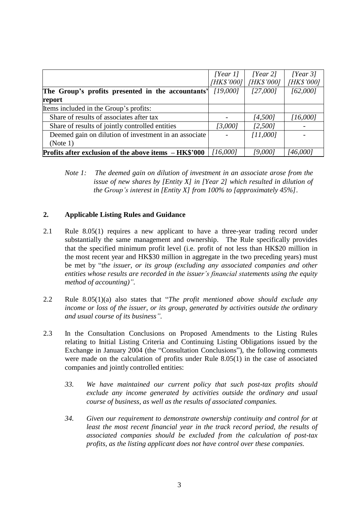|                                                        | [Year 1]   | [Year 2]   | [Year 3]   |
|--------------------------------------------------------|------------|------------|------------|
|                                                        | [HK\$'000] | [HK\$'000] | [HK\$'000] |
| The Group's profits presented in the accountants'      | [19,000]   | [27,000]   | [62,000]   |
| report                                                 |            |            |            |
| Items included in the Group's profits:                 |            |            |            |
| Share of results of associates after tax               |            | [4,500]    | [16,000]   |
| Share of results of jointly controlled entities        | [3,000]    | [2,500]    |            |
| Deemed gain on dilution of investment in an associate  |            | [11,000]   |            |
| (Note 1)                                               |            |            |            |
| Profits after exclusion of the above items $-HK$^2000$ | [16,000]   | [9,000]    | [46,000]   |

*Note 1: The deemed gain on dilution of investment in an associate arose from the issue of new shares by [Entity X] in [Year 2] which resulted in dilution of the Group's interest in [Entity X] from 100% to [approximately 45%].*

## **2. Applicable Listing Rules and Guidance**

- 2.1 Rule 8.05(1) requires a new applicant to have a three-year trading record under substantially the same management and ownership. The Rule specifically provides that the specified minimum profit level (i.e. profit of not less than HK\$20 million in the most recent year and HK\$30 million in aggregate in the two preceding years) must be met by "*the issuer, or its group (excluding any associated companies and other entities whose results are recorded in the issuer's financial statements using the equity method of accounting)".*
- 2.2 Rule 8.05(1)(a) also states that "*The profit mentioned above should exclude any income or loss of the issuer, or its group, generated by activities outside the ordinary and usual course of its business".*
- 2.3 In the Consultation Conclusions on Proposed Amendments to the Listing Rules relating to Initial Listing Criteria and Continuing Listing Obligations issued by the Exchange in January 2004 (the "Consultation Conclusions"), the following comments were made on the calculation of profits under Rule 8.05(1) in the case of associated companies and jointly controlled entities:
	- *33. We have maintained our current policy that such post-tax profits should exclude any income generated by activities outside the ordinary and usual course of business, as well as the results of associated companies.*
	- *34. Given our requirement to demonstrate ownership continuity and control for at least the most recent financial year in the track record period, the results of associated companies should be excluded from the calculation of post-tax profits, as the listing applicant does not have control over these companies.*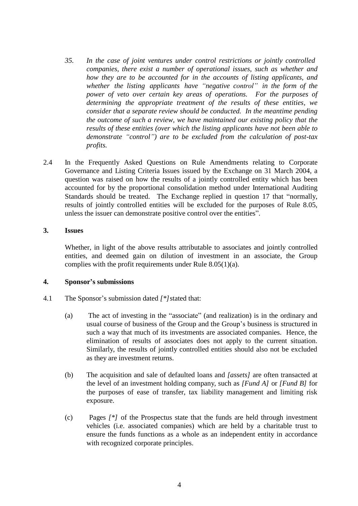- *35. In the case of joint ventures under control restrictions or jointly controlled companies, there exist a number of operational issues, such as whether and how they are to be accounted for in the accounts of listing applicants, and whether the listing applicants have "negative control" in the form of the power of veto over certain key areas of operations. For the purposes of determining the appropriate treatment of the results of these entities, we consider that a separate review should be conducted. In the meantime pending the outcome of such a review, we have maintained our existing policy that the results of these entities (over which the listing applicants have not been able to demonstrate "control") are to be excluded from the calculation of post-tax profits.*
- 2.4 In the Frequently Asked Questions on Rule Amendments relating to Corporate Governance and Listing Criteria Issues issued by the Exchange on 31 March 2004, a question was raised on how the results of a jointly controlled entity which has been accounted for by the proportional consolidation method under International Auditing Standards should be treated. The Exchange replied in question 17 that "normally, results of jointly controlled entities will be excluded for the purposes of Rule 8.05, unless the issuer can demonstrate positive control over the entities".

#### **3. Issues**

Whether, in light of the above results attributable to associates and jointly controlled entities, and deemed gain on dilution of investment in an associate, the Group complies with the profit requirements under Rule 8.05(1)(a).

#### **4. Sponsor's submissions**

- 4.1 The Sponsor's submission dated *[\*]*stated that:
	- (a) The act of investing in the "associate" (and realization) is in the ordinary and usual course of business of the Group and the Group's business is structured in such a way that much of its investments are associated companies. Hence, the elimination of results of associates does not apply to the current situation. Similarly, the results of jointly controlled entities should also not be excluded as they are investment returns.
	- (b) The acquisition and sale of defaulted loans and *[assets]* are often transacted at the level of an investment holding company, such as *[Fund A]* or *[Fund B]* for the purposes of ease of transfer, tax liability management and limiting risk exposure.
	- (c) Pages *[\*]* of the Prospectus state that the funds are held through investment vehicles (i.e. associated companies) which are held by a charitable trust to ensure the funds functions as a whole as an independent entity in accordance with recognized corporate principles.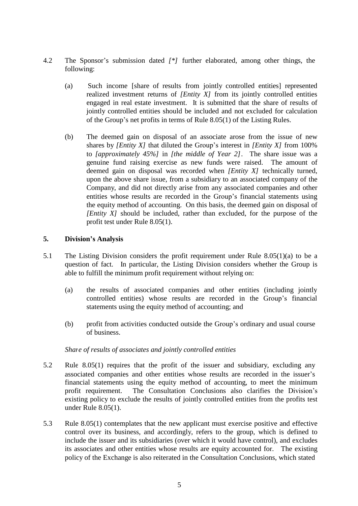- 4.2 The Sponsor's submission dated *[\*]* further elaborated, among other things, the following:
	- (a) Such income [share of results from jointly controlled entities] represented realized investment returns of *[Entity X]* from its jointly controlled entities engaged in real estate investment. It is submitted that the share of results of jointly controlled entities should be included and not excluded for calculation of the Group's net profits in terms of Rule 8.05(1) of the Listing Rules.
	- (b) The deemed gain on disposal of an associate arose from the issue of new shares by *[Entity X]* that diluted the Group's interest in *[Entity X]* from 100% to *[approximately 45%]* in *[the middle of Year 2]*. The share issue was a genuine fund raising exercise as new funds were raised. The amount of deemed gain on disposal was recorded when *[Entity X]* technically turned, upon the above share issue, from a subsidiary to an associated company of the Company, and did not directly arise from any associated companies and other entities whose results are recorded in the Group's financial statements using the equity method of accounting. On this basis, the deemed gain on disposal of *[Entity X]* should be included, rather than excluded, for the purpose of the profit test under Rule 8.05(1).

#### **5. Division's Analysis**

- 5.1 The Listing Division considers the profit requirement under Rule 8.05(1)(a) to be a question of fact. In particular, the Listing Division considers whether the Group is able to fulfill the minimum profit requirement without relying on:
	- (a) the results of associated companies and other entities (including jointly controlled entities) whose results are recorded in the Group's financial statements using the equity method of accounting; and
	- (b) profit from activities conducted outside the Group's ordinary and usual course of business.

#### *Share of results of associates and jointly controlled entities*

- 5.2 Rule 8.05(1) requires that the profit of the issuer and subsidiary, excluding any associated companies and other entities whose results are recorded in the issuer's financial statements using the equity method of accounting, to meet the minimum profit requirement. The Consultation Conclusions also clarifies the Division's existing policy to exclude the results of jointly controlled entities from the profits test under Rule 8.05(1).
- 5.3 Rule 8.05(1) contemplates that the new applicant must exercise positive and effective control over its business, and accordingly, refers to the group, which is defined to include the issuer and its subsidiaries (over which it would have control), and excludes its associates and other entities whose results are equity accounted for. The existing policy of the Exchange is also reiterated in the Consultation Conclusions, which stated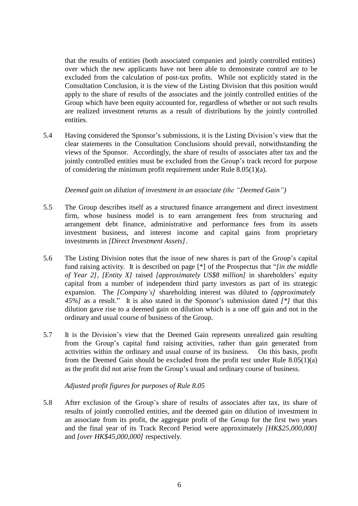that the results of entities (both associated companies and jointly controlled entities) over which the new applicants have not been able to demonstrate control are to be excluded from the calculation of post-tax profits. While not explicitly stated in the Consultation Conclusion, it is the view of the Listing Division that this position would apply to the share of results of the associates and the jointly controlled entities of the Group which have been equity accounted for, regardless of whether or not such results are realized investment returns as a result of distributions by the jointly controlled entities.

5.4 Having considered the Sponsor's submissions, it is the Listing Division's view that the clear statements in the Consultation Conclusions should prevail, notwithstanding the views of the Sponsor. Accordingly, the share of results of associates after tax and the jointly controlled entities must be excluded from the Group's track record for purpose of considering the minimum profit requirement under Rule  $8.05(1)(a)$ .

*Deemed gain on dilution of investment in an associate (the "Deemed Gain")*

- 5.5 The Group describes itself as a structured finance arrangement and direct investment firm, whose business model is to earn arrangement fees from structuring and arrangement debt finance, administrative and performance fees from its assets investment business, and interest income and capital gains from proprietary investments in *[Direct Investment Assets]*.
- 5.6 The Listing Division notes that the issue of new shares is part of the Group's capital fund raising activity. It is described on page [\*] of the Prospectus that "*[in the middle of Year 2]*, *[Entity X]* raised *[approximately US\$8 million]* in shareholders' equity capital from a number of independent third party investors as part of its strategic expansion. The *[Company's]* shareholding interest was diluted to *[approximately 45%]* as a result." It is also stated in the Sponsor's submission dated *[\*]* that this dilution gave rise to a deemed gain on dilution which is a one off gain and not in the ordinary and usual course of business of the Group.
- 5.7 It is the Division's view that the Deemed Gain represents unrealized gain resulting from the Group's capital fund raising activities, rather than gain generated from activities within the ordinary and usual course of its business. On this basis, profit from the Deemed Gain should be excluded from the profit test under Rule 8.05(1)(a) as the profit did not arise from the Group's usual and ordinary course of business.

*Adjusted profit figures for purposes of Rule 8.05*

5.8 After exclusion of the Group's share of results of associates after tax, its share of results of jointly controlled entities, and the deemed gain on dilution of investment in an associate from its profit, the aggregate profit of the Group for the first two years and the final year of its Track Record Period were approximately *[HK\$25,000,000]*  and *[over HK\$45,000,000]* respectively.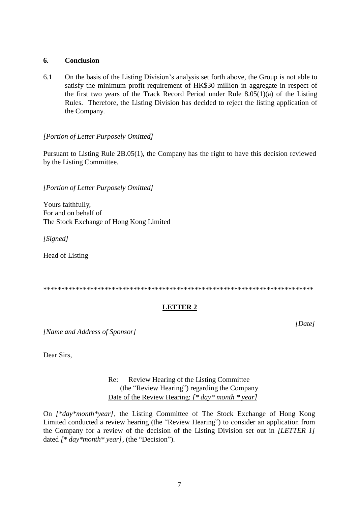#### **6. Conclusion**

6.1 On the basis of the Listing Division's analysis set forth above, the Group is not able to satisfy the minimum profit requirement of HK\$30 million in aggregate in respect of the first two years of the Track Record Period under Rule 8.05(1)(a) of the Listing Rules. Therefore, the Listing Division has decided to reject the listing application of the Company.

### *[Portion of Letter Purposely Omitted]*

Pursuant to Listing Rule 2B.05(1), the Company has the right to have this decision reviewed by the Listing Committee.

*[Portion of Letter Purposely Omitted]*

Yours faithfully, For and on behalf of The Stock Exchange of Hong Kong Limited

*[Signed]*

Head of Listing

\*\*\*\*\*\*\*\*\*\*\*\*\*\*\*\*\*\*\*\*\*\*\*\*\*\*\*\*\*\*\*\*\*\*\*\*\*\*\*\*\*\*\*\*\*\*\*\*\*\*\*\*\*\*\*\*\*\*\*\*\*\*\*\*\*\*\*\*\*\*\*\*\*\*\*

# **LETTER 2**

*[Name and Address of Sponsor]*

*[Date]*

Dear Sirs,

Re: Review Hearing of the Listing Committee (the "Review Hearing") regarding the Company Date of the Review Hearing: *[\* day\* month \* year]*

On *[\*day\*month\*year]*, the Listing Committee of The Stock Exchange of Hong Kong Limited conducted a review hearing (the "Review Hearing") to consider an application from the Company for a review of the decision of the Listing Division set out in *[LETTER 1]*  dated *[\* day\*month\* year]*, (the "Decision").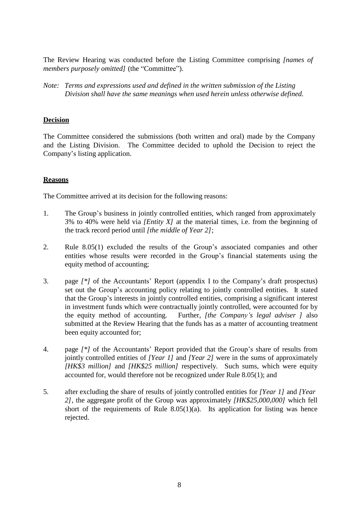The Review Hearing was conducted before the Listing Committee comprising *[names of members purposely omitted]* (the "Committee").

*Note: Terms and expressions used and defined in the written submission of the Listing Division shall have the same meanings when used herein unless otherwise defined.*

### **Decision**

The Committee considered the submissions (both written and oral) made by the Company and the Listing Division. The Committee decided to uphold the Decision to reject the Company's listing application.

### **Reasons**

The Committee arrived at its decision for the following reasons:

- 1. The Group's business in jointly controlled entities, which ranged from approximately 3% to 40% were held via *[Entity X]* at the material times, i.e. from the beginning of the track record period until *[the middle of Year 2]*;
- 2. Rule 8.05(1) excluded the results of the Group's associated companies and other entities whose results were recorded in the Group's financial statements using the equity method of accounting;
- 3. page *[\*]* of the Accountants' Report (appendix I to the Company's draft prospectus) set out the Group's accounting policy relating to jointly controlled entities. It stated that the Group's interests in jointly controlled entities, comprising a significant interest in investment funds which were contractually jointly controlled, were accounted for by the equity method of accounting. Further*, [the Company's legal adviser ]* also submitted at the Review Hearing that the funds has as a matter of accounting treatment been equity accounted for;
- 4. page *[\*]* of the Accountants' Report provided that the Group's share of results from jointly controlled entities of *[Year 1]* and *[Year 2]* were in the sums of approximately *[HK\$3 million]* and *[HK\$25 million]* respectively. Such sums, which were equity accounted for, would therefore not be recognized under Rule 8.05(1); and
- 5. after excluding the share of results of jointly controlled entities for *[Year 1]* and *[Year 2]*, the aggregate profit of the Group was approximately *[HK\$25,000,000]* which fell short of the requirements of Rule  $8.05(1)(a)$ . Its application for listing was hence rejected.